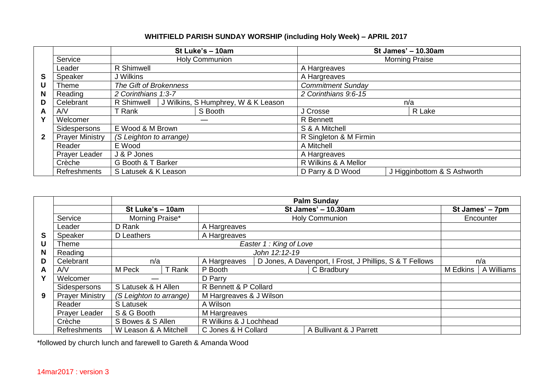## **WHITFIELD PARISH SUNDAY WORSHIP (including Holy Week) – APRIL 2017**

|              |                         |                         |                                     | St Luke's - 10am | St James' - 10.30am                              |  |  |  |
|--------------|-------------------------|-------------------------|-------------------------------------|------------------|--------------------------------------------------|--|--|--|
|              | Service                 | <b>Holy Communion</b>   |                                     |                  | <b>Morning Praise</b>                            |  |  |  |
|              | Leader                  | R Shimwell              |                                     |                  | A Hargreaves                                     |  |  |  |
| S            | Speaker                 | J Wilkins               |                                     |                  | A Hargreaves                                     |  |  |  |
| U            | Theme                   | The Gift of Brokenness  |                                     |                  | <b>Commitment Sunday</b><br>2 Corinthians 9:6-15 |  |  |  |
| N            | Reading                 | 2 Corinthians 1:3-7     |                                     |                  |                                                  |  |  |  |
| D            | Celebrant               | R Shimwell              | J Wilkins, S Humphrey, W & K Leason |                  | n/a                                              |  |  |  |
| A            | S Booth<br>T Rank<br>AV |                         |                                     | J Crosse         | R Lake                                           |  |  |  |
| v            | Welcomer                |                         |                                     |                  | <b>R</b> Bennett                                 |  |  |  |
|              | Sidespersons            | E Wood & M Brown        |                                     |                  | S & A Mitchell                                   |  |  |  |
| $\mathbf{2}$ | <b>Prayer Ministry</b>  | (S Leighton to arrange) |                                     |                  | R Singleton & M Firmin                           |  |  |  |
|              | Reader                  | E Wood<br>J & P Jones   |                                     |                  | A Mitchell                                       |  |  |  |
|              | <b>Prayer Leader</b>    |                         |                                     |                  | A Hargreaves                                     |  |  |  |
|              | Crèche                  | G Booth & T Barker      |                                     |                  | R Wilkins & A Mellor                             |  |  |  |
|              | Refreshments            | S Latusek & K Leason    |                                     |                  | J Higginbottom & S Ashworth<br>D Parry & D Wood  |  |  |  |

|          |                        |                                                                         |        |                         |                                                          | <b>Palm Sunday</b> |     |                 |  |
|----------|------------------------|-------------------------------------------------------------------------|--------|-------------------------|----------------------------------------------------------|--------------------|-----|-----------------|--|
|          |                        | St Luke's - 10am                                                        |        | St James' $- 10.30$ am  |                                                          |                    |     | St James' - 7pm |  |
|          | Service                | Morning Praise*                                                         |        | Holy Communion          |                                                          |                    |     | Encounter       |  |
|          | Leader                 | D Rank                                                                  |        | A Hargreaves            |                                                          |                    |     |                 |  |
| <b>S</b> | Speaker                | D Leathers                                                              |        | A Hargreaves            |                                                          |                    |     |                 |  |
| U        | Theme                  |                                                                         |        |                         | Easter 1: King of Love                                   |                    |     |                 |  |
| N        | Reading                |                                                                         |        | John 12:12-19           |                                                          |                    |     |                 |  |
| D        | Celebrant              | n/a                                                                     |        | A Hargreaves            | D Jones, A Davenport, I Frost, J Phillips, S & T Fellows |                    | n/a |                 |  |
| A        | A/V                    | M Peck                                                                  | T Rank | P Booth                 | C Bradbury                                               |                    |     | A Williams      |  |
| Y        | Welcomer               |                                                                         |        | D Parry                 |                                                          |                    |     |                 |  |
|          | Sidespersons           | S Latusek & H Allen                                                     |        | R Bennett & P Collard   |                                                          |                    |     |                 |  |
| 9        | <b>Prayer Ministry</b> | (S Leighton to arrange)                                                 |        | M Hargreaves & J Wilson |                                                          |                    |     |                 |  |
|          | Reader                 | S Latusek                                                               |        | A Wilson                |                                                          |                    |     |                 |  |
|          | <b>Prayer Leader</b>   | S & G Booth                                                             |        | M Hargreaves            |                                                          |                    |     |                 |  |
|          | Crèche                 | S Bowes & S Allen                                                       |        | R Wilkins & J Lochhead  |                                                          |                    |     |                 |  |
|          | <b>Refreshments</b>    | W Leason & A Mitchell<br>C Jones & H Collard<br>A Bullivant & J Parrett |        |                         |                                                          |                    |     |                 |  |

\*followed by church lunch and farewell to Gareth & Amanda Wood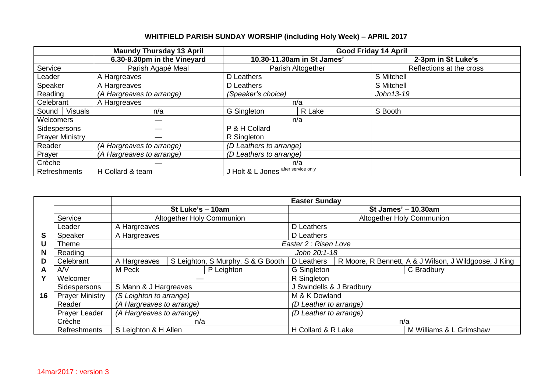## **WHITFIELD PARISH SUNDAY WORSHIP (including Holy Week) – APRIL 2017**

|                         | <b>Maundy Thursday 13 April</b> |                                     |                            | <b>Good Friday 14 April</b> |
|-------------------------|---------------------------------|-------------------------------------|----------------------------|-----------------------------|
|                         | 6.30-8.30pm in the Vineyard     |                                     | 10.30-11.30am in St James' | 2-3pm in St Luke's          |
| Service                 | Parish Agapé Meal               |                                     | Parish Altogether          | Reflections at the cross    |
| Leader                  | A Hargreaves                    | D Leathers                          |                            | S Mitchell                  |
| Speaker                 | A Hargreaves                    | D Leathers                          |                            | S Mitchell                  |
| Reading                 | (A Hargreaves to arrange)       | (Speaker's choice)                  |                            | John13-19                   |
| Celebrant               | A Hargreaves                    |                                     | n/a                        |                             |
| <b>Visuals</b><br>Sound | n/a                             | G Singleton                         | R Lake                     | S Booth                     |
| Welcomers               |                                 |                                     | n/a                        |                             |
| Sidespersons            |                                 | P & H Collard                       |                            |                             |
| <b>Prayer Ministry</b>  |                                 | R Singleton                         |                            |                             |
| Reader                  | (A Hargreaves to arrange)       | (D Leathers to arrange)             |                            |                             |
| Prayer                  | (A Hargreaves to arrange)       |                                     | (D Leathers to arrange)    |                             |
| Crèche                  |                                 | n/a                                 |                            |                             |
| <b>Refreshments</b>     | H Collard & team                | J Holt & L Jones after service only |                            |                             |

|    |                        |                                  |                           |                                   | <b>Easter Sunday</b>      |                        |                                                       |  |
|----|------------------------|----------------------------------|---------------------------|-----------------------------------|---------------------------|------------------------|-------------------------------------------------------|--|
|    |                        |                                  | St Luke's - 10am          |                                   | St James' - 10.30am       |                        |                                                       |  |
|    | Service                | Altogether Holy Communion        |                           |                                   | Altogether Holy Communion |                        |                                                       |  |
|    | Leader                 | A Hargreaves                     |                           |                                   | D Leathers                |                        |                                                       |  |
| S  | Speaker                | A Hargreaves                     |                           |                                   | D Leathers                |                        |                                                       |  |
| U  | <b>Theme</b>           |                                  |                           |                                   | Easter 2 : Risen Love     |                        |                                                       |  |
| N. | Reading                |                                  |                           |                                   | John 20:1-18              |                        |                                                       |  |
| D  | Celebrant              | A Hargreaves                     |                           | S Leighton, S Murphy, S & G Booth | D Leathers                |                        | R Moore, R Bennett, A & J Wilson, J Wildgoose, J King |  |
| A  | A/V                    | P Leighton<br>M Peck             |                           | G Singleton                       |                           | C Bradbury             |                                                       |  |
|    | Welcomer               |                                  |                           |                                   | R Singleton               |                        |                                                       |  |
|    | Sidespersons           | S Mann & J Hargreaves            |                           |                                   | J Swindells & J Bradbury  |                        |                                                       |  |
| 16 | <b>Prayer Ministry</b> | (S Leighton to arrange)          |                           |                                   | M & K Dowland             |                        |                                                       |  |
|    | Reader                 |                                  | (A Hargreaves to arrange) |                                   |                           | (D Leather to arrange) |                                                       |  |
|    | Prayer Leader          | (A Hargreaves to arrange)<br>n/a |                           |                                   | (D Leather to arrange)    |                        |                                                       |  |
|    | Crèche                 |                                  |                           |                                   | n/a                       |                        |                                                       |  |
|    | Refreshments           | S Leighton & H Allen             |                           |                                   | H Collard & R Lake        |                        | M Williams & L Grimshaw                               |  |